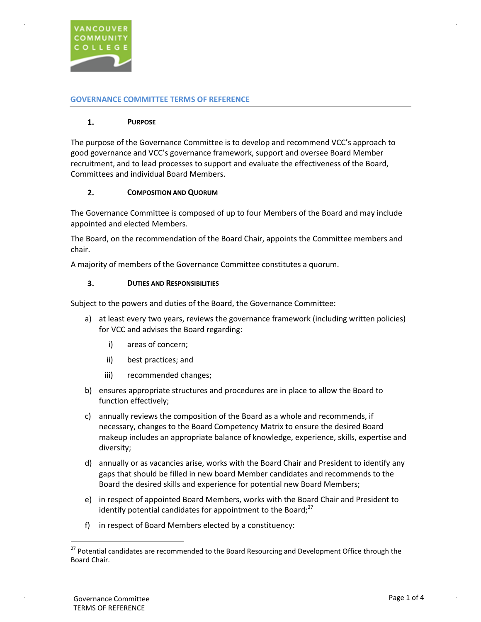

#### **GOVERNANCE COMMITTEE TERMS OF REFERENCE**

#### **1. PURPOSE**

The purpose of the Governance Committee is to develop and recommend VCC's approach to good governance and VCC's governance framework, support and oversee Board Member recruitment, and to lead processes to support and evaluate the effectiveness of the Board, Committees and individual Board Members.

#### **2. COMPOSITION AND QUORUM**

The Governance Committee is composed of up to four Members of the Board and may include appointed and elected Members.

The Board, on the recommendation of the Board Chair, appoints the Committee members and chair.

A majority of members of the Governance Committee constitutes a quorum.

#### **3. DUTIES AND RESPONSIBILITIES**

Subject to the powers and duties of the Board, the Governance Committee:

- a) at least every two years, reviews the governance framework (including written policies) for VCC and advises the Board regarding:
	- i) areas of concern;
	- ii) best practices; and
	- iii) recommended changes;
- b) ensures appropriate structures and procedures are in place to allow the Board to function effectively;
- c) annually reviews the composition of the Board as a whole and recommends, if necessary, changes to the Board Competency Matrix to ensure the desired Board makeup includes an appropriate balance of knowledge, experience, skills, expertise and diversity;
- d) annually or as vacancies arise, works with the Board Chair and President to identify any gaps that should be filled in new board Member candidates and recommends to the Board the desired skills and experience for potential new Board Members;
- e) in respect of appointed Board Members, works with the Board Chair and President to identify potential candidates for appointment to the Board; $^{27}$
- f) in respect of Board Members elected by a constituency:

Board Chair. <sup>27</sup> Potential candidates are recommended to the Board Resourcing and Development Office through the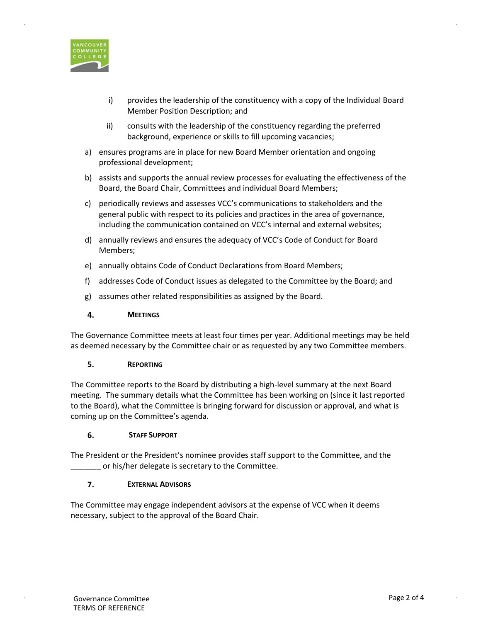

- i) provides the leadership of the constituency with a copy of the Individual Board Member Position Description; and
- ii) consults with the leadership of the constituency regarding the preferred background, experience or skills to fill upcoming vacancies;
- a) ensures programs are in place for new Board Member orientation and ongoing professional development;
- b) assists and supports the annual review processes for evaluating the effectiveness of the Board, the Board Chair, Committees and individual Board Members;
- c) periodically reviews and assesses VCC's communications to stakeholders and the general public with respect to its policies and practices in the area of governance, including the communication contained on VCC's internal and external websites;
- d) annually reviews and ensures the adequacy of VCC's Code of Conduct for Board Members;
- e) annually obtains Code of Conduct Declarations from Board Members;
- f) addresses Code of Conduct issues as delegated to the Committee by the Board; and
- g) assumes other related responsibilities as assigned by the Board.

## **4. MEETINGS**

The Governance Committee meets at least four times per year. Additional meetings may be held as deemed necessary by the Committee chair or as requested by any two Committee members.

## **5. REPORTING**

The Committee reports to the Board by distributing a high-level summary at the next Board meeting. The summary details what the Committee has been working on (since it last reported to the Board), what the Committee is bringing forward for discussion or approval, and what is coming up on the Committee's agenda.

## **6. STAFF SUPPORT**

The President or the President's nominee provides staff support to the Committee, and the \_\_\_\_\_\_\_ or his/her delegate is secretary to the Committee.

## **7. EXTERNAL ADVISORS**

The Committee may engage independent advisors at the expense of VCC when it deems necessary, subject to the approval of the Board Chair.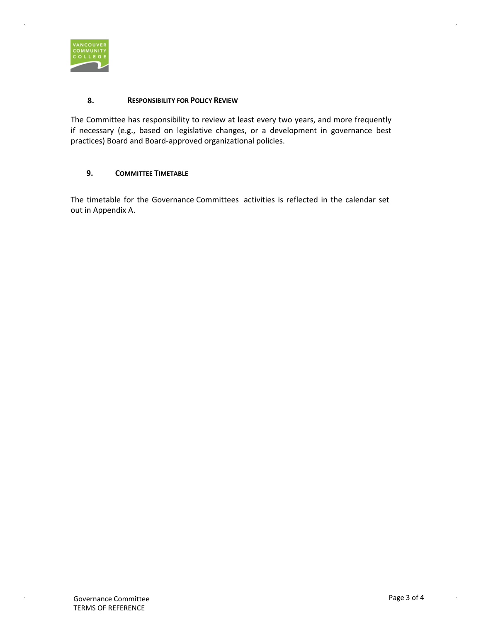

#### **8. RESPONSIBILITY FOR POLICY REVIEW**

The Committee has responsibility to review at least every two years, and more frequently if necessary (e.g., based on legislative changes, or a development in governance best practices) Board and Board-approved organizational policies.

# **9. COMMITTEE TIMETABLE**

The timetable for the Governance Committees activities is reflected in the calendar set out in Appendix A.